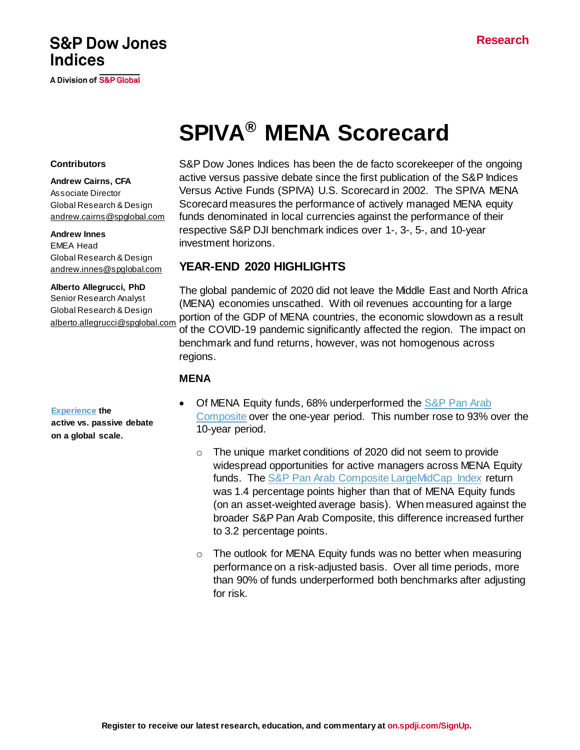# **S&P Dow Jones Indices**

**A Division of S&P Global** 

# **SPIVA® MENA Scorecard**

#### **Contributors**

**Andrew Cairns, CFA** Associate Director Global Research & Design [andrew.cairns@spglobal.com](mailto:andrew.cairns@spglobal.com)

#### **Andrew Innes**

EMEA Head Global Research & Design [andrew.innes@spglobal.com](mailto:andrew.innes@spglobal.com)

#### **Alberto Allegrucci, PhD**

Senior Research Analyst Global Research & Design [alberto.allegrucci@spglobal.com](mailto:alberto.allegrucci@spglobal.com)

#### **[Experience](https://www.spglobal.com/spdji/en/research-insights/spiva/) the**

**active vs. passive debate on a global scale.**

S&P Dow Jones Indices has been the de facto scorekeeper of the ongoing active versus passive debate since the first publication of the S&P Indices Versus Active Funds (SPIVA) U.S. Scorecard in 2002. The SPIVA MENA Scorecard measures the performance of actively managed MENA equity funds denominated in local currencies against the performance of their respective S&P DJI benchmark indices over 1-, 3-, 5-, and 10-year investment horizons.

# **YEAR-END 2020 HIGHLIGHTS**

The global pandemic of 2020 did not leave the Middle East and North Africa (MENA) economies unscathed. With oil revenues accounting for a large portion of the GDP of MENA countries, the economic slowdown as a result of the COVID-19 pandemic significantly affected the region. The impact on benchmark and fund returns, however, was not homogenous across regions.

#### **MENA**

- Of MENA Equity funds, 68% underperformed the S&P Pan Arab [Composite](https://www.spglobal.com/spdji/en/indices/equity/sp-pan-arab-composite/#overview) over the one-year period. This number rose to 93% over the 10-year period.
	- $\circ$  The unique market conditions of 2020 did not seem to provide widespread opportunities for active managers across MENA Equity funds. The [S&P Pan Arab Composite LargeMidCap](https://www.spglobal.com/spdji/en/indices/equity/sp-pan-arab-composite-largemidcap-index/#overview) Index return was 1.4 percentage points higher than that of MENA Equity funds (on an asset-weighted average basis). When measured against the broader S&P Pan Arab Composite, this difference increased further to 3.2 percentage points.
	- $\circ$  The outlook for MENA Equity funds was no better when measuring performance on a risk-adjusted basis. Over all time periods, more than 90% of funds underperformed both benchmarks after adjusting for risk.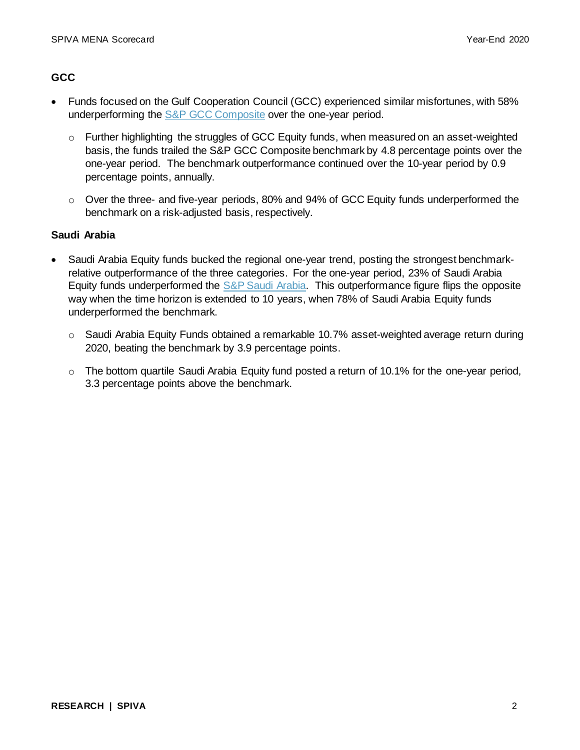#### **GCC**

- Funds focused on the Gulf Cooperation Council (GCC) experienced similar misfortunes, with 58% underperforming the S&P [GCC Composite](https://www.spglobal.com/spdji/en/indices/equity/sp-gcc-composite/) over the one-year period.
	- $\circ$  Further highlighting the struggles of GCC Equity funds, when measured on an asset-weighted basis, the funds trailed the S&P GCC Composite benchmark by 4.8 percentage points over the one-year period. The benchmark outperformance continued over the 10-year period by 0.9 percentage points, annually.
	- $\circ$  Over the three- and five-year periods, 80% and 94% of GCC Equity funds underperformed the benchmark on a risk-adjusted basis, respectively.

#### **Saudi Arabia**

- Saudi Arabia Equity funds bucked the regional one-year trend, posting the strongest benchmarkrelative outperformance of the three categories. For the one-year period, 23% of Saudi Arabia Equity funds underperformed the [S&P Saudi Arabia.](https://www.spglobal.com/spdji/en/indices/equity/sp-saudi-arabia/) This outperformance figure flips the opposite way when the time horizon is extended to 10 years, when 78% of Saudi Arabia Equity funds underperformed the benchmark.
	- $\circ$  Saudi Arabia Equity Funds obtained a remarkable 10.7% asset-weighted average return during 2020, beating the benchmark by 3.9 percentage points.
	- $\circ$  The bottom quartile Saudi Arabia Equity fund posted a return of 10.1% for the one-year period, 3.3 percentage points above the benchmark.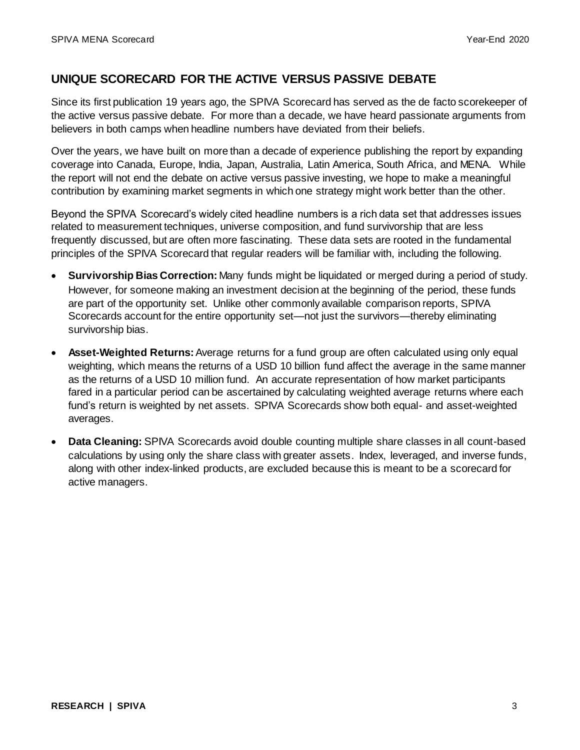# **UNIQUE SCORECARD FOR THE ACTIVE VERSUS PASSIVE DEBATE**

Since its first publication 19 years ago, the SPIVA Scorecard has served as the de facto scorekeeper of the active versus passive debate. For more than a decade, we have heard passionate arguments from believers in both camps when headline numbers have deviated from their beliefs.

Over the years, we have built on more than a decade of experience publishing the report by expanding coverage into Canada, Europe, India, Japan, Australia, Latin America, South Africa, and MENA. While the report will not end the debate on active versus passive investing, we hope to make a meaningful contribution by examining market segments in which one strategy might work better than the other.

Beyond the SPIVA Scorecard's widely cited headline numbers is a rich data set that addresses issues related to measurement techniques, universe composition, and fund survivorship that are less frequently discussed, but are often more fascinating. These data sets are rooted in the fundamental principles of the SPIVA Scorecard that regular readers will be familiar with, including the following.

- **Survivorship Bias Correction:** Many funds might be liquidated or merged during a period of study. However, for someone making an investment decision at the beginning of the period, these funds are part of the opportunity set. Unlike other commonly available comparison reports, SPIVA Scorecards account for the entire opportunity set—not just the survivors—thereby eliminating survivorship bias.
- **Asset-Weighted Returns:**Average returns for a fund group are often calculated using only equal weighting, which means the returns of a USD 10 billion fund affect the average in the same manner as the returns of a USD 10 million fund. An accurate representation of how market participants fared in a particular period can be ascertained by calculating weighted average returns where each fund's return is weighted by net assets. SPIVA Scorecards show both equal- and asset-weighted averages.
- **Data Cleaning:** SPIVA Scorecards avoid double counting multiple share classes in all count-based calculations by using only the share class with greater assets. Index, leveraged, and inverse funds, along with other index-linked products, are excluded because this is meant to be a scorecard for active managers.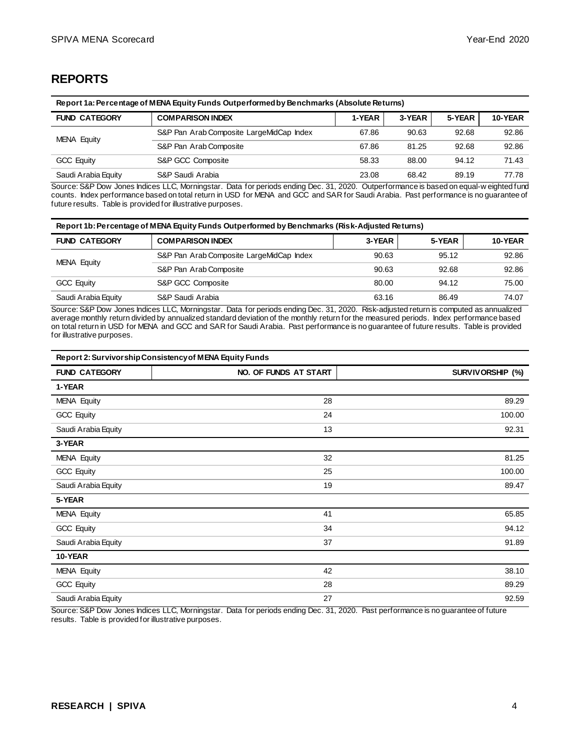## **REPORTS**

| Report 1a: Percentage of MENA Equity Funds Outperformed by Benchmarks (Absolute Returns) |                                          |        |        |        |         |
|------------------------------------------------------------------------------------------|------------------------------------------|--------|--------|--------|---------|
| <b>FUND CATEGORY</b>                                                                     | <b>COMPARISON INDEX</b>                  | 1-YEAR | 3-YEAR | 5-YEAR | 10-YEAR |
| MENA Equity                                                                              | S&P Pan Arab Composite LargeMidCap Index | 67.86  | 90.63  | 92.68  | 92.86   |
|                                                                                          | S&P Pan Arab Composite                   | 67.86  | 81.25  | 92.68  | 92.86   |
| S&P GCC Composite<br><b>GCC Equity</b>                                                   |                                          | 58.33  | 88.00  | 94.12  | 71.43   |
| Saudi Arabia Equity                                                                      | S&P Saudi Arabia<br>23.08<br>68.42       |        |        |        | 77.78   |

Source: S&P Dow Jones Indices LLC, Morningstar. Data for periods ending Dec. 31, 2020. Outperformance is based on equal-w eighted fund counts. Index performance based on total return in USD for MENA and GCC and SAR for Saudi Arabia. Past performance is no guarantee of future results. Table is provided for illustrative purposes.

| Report 1b: Percentage of MENA Equity Funds Outperformed by Benchmarks (Risk-Adjusted Returns) |                                          |        |        |         |  |
|-----------------------------------------------------------------------------------------------|------------------------------------------|--------|--------|---------|--|
| <b>FUND CATEGORY</b>                                                                          | <b>COMPARISON INDEX</b>                  | 3-YEAR | 5-YEAR | 10-YEAR |  |
| MENA Equity                                                                                   | S&P Pan Arab Composite LargeMidCap Index | 90.63  | 95.12  | 92.86   |  |
|                                                                                               | S&P Pan Arab Composite                   | 90.63  | 92.68  | 92.86   |  |
| <b>GCC Equity</b>                                                                             | S&P GCC Composite                        |        | 94.12  | 75.00   |  |
| S&P Saudi Arabia<br>Saudi Arabia Equity<br>63.16<br>86.49                                     |                                          |        |        | 74.07   |  |

Source: S&P Dow Jones Indices LLC, Morningstar. Data for periods ending Dec. 31, 2020. Risk-adjusted return is computed as annualized average monthly return divided by annualized standard deviation of the monthly return for the measured periods. Index performance based on total return in USD for MENA and GCC and SAR for Saudi Arabia. Past performance is no guarantee of future results. Table is provided for illustrative purposes.

| Report 2: Survivorship Consistency of MENA Equity Funds |                       |                         |  |  |  |
|---------------------------------------------------------|-----------------------|-------------------------|--|--|--|
| <b>FUND CATEGORY</b>                                    | NO. OF FUNDS AT START | <b>SURVIVORSHIP (%)</b> |  |  |  |
| 1-YEAR                                                  |                       |                         |  |  |  |
| MENA Equity                                             | 28                    | 89.29                   |  |  |  |
| GCC Equity                                              | 24                    | 100.00                  |  |  |  |
| Saudi Arabia Equity                                     | 13                    | 92.31                   |  |  |  |
| 3-YEAR                                                  |                       |                         |  |  |  |
| <b>MENA Equity</b>                                      | 32                    | 81.25                   |  |  |  |
| <b>GCC Equity</b>                                       | 25                    | 100.00                  |  |  |  |
| Saudi Arabia Equity                                     | 19                    | 89.47                   |  |  |  |
| 5-YEAR                                                  |                       |                         |  |  |  |
| MENA Equity                                             | 41                    | 65.85                   |  |  |  |
| GCC Equity                                              | 34                    | 94.12                   |  |  |  |
| Saudi Arabia Equity                                     | 37                    | 91.89                   |  |  |  |
| 10-YEAR                                                 |                       |                         |  |  |  |
| <b>MENA Equity</b>                                      | 42                    | 38.10                   |  |  |  |
| GCC Equity                                              | 28                    | 89.29                   |  |  |  |
| Saudi Arabia Equity                                     | 27                    | 92.59                   |  |  |  |

Source: S&P Dow Jones Indices LLC, Morningstar. Data for periods ending Dec. 31, 2020. Past performance is no guarantee of future results. Table is provided for illustrative purposes.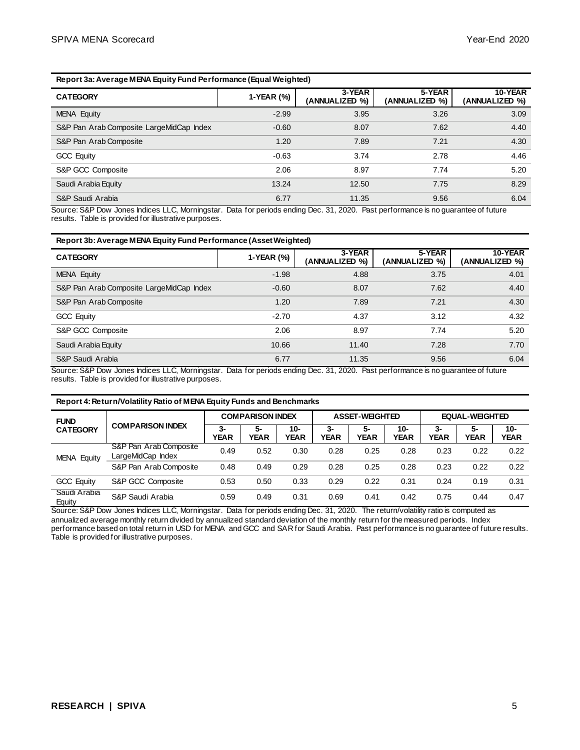#### **Report 3a: Average MENA Equity Fund Performance (Equal Weighted)**

| <b>CATEGORY</b>                          | 1-YEAR (%) | 3-YEAR<br>(ANNUALIZED %) | 5-YEAR<br>(ANNUALIZED %) | 10-YEAR<br>(ANNUALIZED %) |
|------------------------------------------|------------|--------------------------|--------------------------|---------------------------|
| MENA Equity                              | $-2.99$    | 3.95                     | 3.26                     | 3.09                      |
| S&P Pan Arab Composite LargeMidCap Index | $-0.60$    | 8.07                     | 7.62                     | 4.40                      |
| S&P Pan Arab Composite                   | 1.20       | 7.89                     | 7.21                     | 4.30                      |
| <b>GCC Equity</b>                        | $-0.63$    | 3.74                     | 2.78                     | 4.46                      |
| S&P GCC Composite                        | 2.06       | 8.97                     | 7.74                     | 5.20                      |
| Saudi Arabia Equity                      | 13.24      | 12.50                    | 7.75                     | 8.29                      |
| S&P Saudi Arabia                         | 6.77       | 11.35                    | 9.56                     | 6.04                      |

Source: S&P Dow Jones Indices LLC, Morningstar. Data for periods ending Dec. 31, 2020. Past performance is no guarantee of future results. Table is provided for illustrative purposes.

#### **Report 3b: Average MENA Equity Fund Performance (Asset Weighted)**

| <b>CATEGORY</b>                          | 1-YEAR (%) | 3-YEAR<br>(ANNUALIZED %) | 5-YEAR<br>(ANNUALIZED %) | 10-YEAR<br>(ANNUALIZED %) |
|------------------------------------------|------------|--------------------------|--------------------------|---------------------------|
| MENA Equity                              | $-1.98$    | 4.88                     | 3.75                     | 4.01                      |
| S&P Pan Arab Composite LargeMidCap Index | $-0.60$    | 8.07                     | 7.62                     | 4.40                      |
| S&P Pan Arab Composite                   | 1.20       | 7.89                     | 7.21                     | 4.30                      |
| <b>GCC Equity</b>                        | $-2.70$    | 4.37                     | 3.12                     | 4.32                      |
| S&P GCC Composite                        | 2.06       | 8.97                     | 7.74                     | 5.20                      |
| Saudi Arabia Equity                      | 10.66      | 11.40                    | 7.28                     | 7.70                      |
| S&P Saudi Arabia                         | 6.77       | 11.35                    | 9.56                     | 6.04                      |

Source: S&P Dow Jones Indices LLC, Morningstar. Data for periods ending Dec. 31, 2020. Past performance is no guarantee of future results. Table is provided for illustrative purposes.

#### **Report 4: Return/Volatility Ratio of MENA Equity Funds and Benchmarks**

| <b>FUND</b>            | <b>COMPARISON INDEX</b>                     | <b>COMPARISON INDEX</b> |                   | <b>ASSET-WEIGHTED</b> |                   |                   | EQUAL-WEIGHTED        |                   |                   |                       |
|------------------------|---------------------------------------------|-------------------------|-------------------|-----------------------|-------------------|-------------------|-----------------------|-------------------|-------------------|-----------------------|
| <b>CATEGORY</b>        |                                             | 3-<br><b>YEAR</b>       | 5-<br><b>YEAR</b> | $10 -$<br><b>YEAR</b> | 3-<br><b>YEAR</b> | 5-<br><b>YEAR</b> | $10 -$<br><b>YEAR</b> | 3-<br><b>YEAR</b> | 5-<br><b>YEAR</b> | $10 -$<br><b>YEAR</b> |
| <b>MENA Equity</b>     | S&P Pan Arab Composite<br>LargeMidCap Index | 0.49                    | 0.52              | 0.30                  | 0.28              | 0.25              | 0.28                  | 0.23              | 0.22              | 0.22                  |
|                        | S&P Pan Arab Composite                      | 0.48                    | 0.49              | 0.29                  | 0.28              | 0.25              | 0.28                  | 0.23              | 0.22              | 0.22                  |
| <b>GCC Equity</b>      | S&P GCC Composite                           | 0.53                    | 0.50              | 0.33                  | 0.29              | 0.22              | 0.31                  | 0.24              | 0.19              | 0.31                  |
| Saudi Arabia<br>Equity | S&P Saudi Arabia                            | 0.59                    | 0.49              | 0.31                  | 0.69              | 0.41              | 0.42                  | 0.75              | 0.44              | 0.47                  |

Source: S&P Dow Jones Indices LLC, Morningstar. Data for periods ending Dec. 31, 2020. The return/volatility ratio is computed as annualized average monthly return divided by annualized standard deviation of the monthly return for the measured periods. Index performance based on total return in USD for MENA and GCC and SAR for Saudi Arabia. Past performance is no guarantee of future results. Table is provided for illustrative purposes.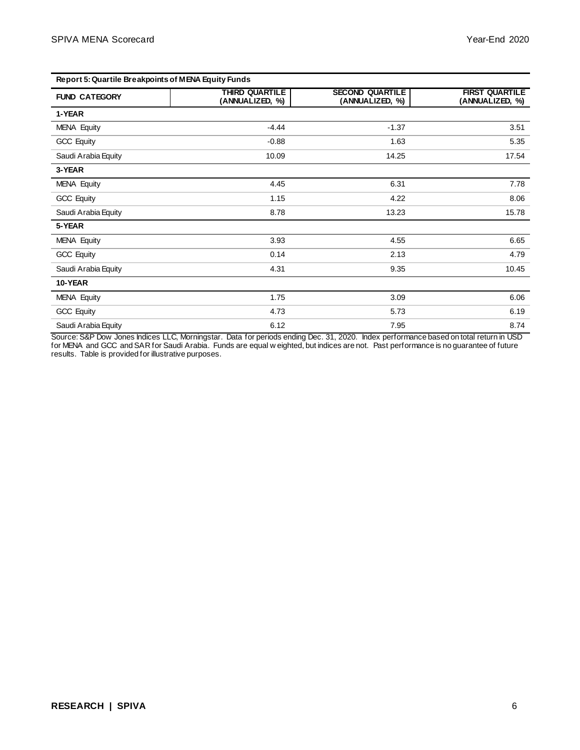| Report 5: Quartile Breakpoints of MENA Equity Funds |                                          |                                           |                                          |  |  |
|-----------------------------------------------------|------------------------------------------|-------------------------------------------|------------------------------------------|--|--|
| <b>FUND CATEGORY</b>                                | <b>THIRD QUARTILE</b><br>(ANNUALIZED, %) | <b>SECOND QUARTILE</b><br>(ANNUALIZED, %) | <b>FIRST QUARTILE</b><br>(ANNUALIZED, %) |  |  |
| 1-YEAR                                              |                                          |                                           |                                          |  |  |
| <b>MENA Equity</b>                                  | $-4.44$                                  | $-1.37$                                   | 3.51                                     |  |  |
| <b>GCC Equity</b>                                   | $-0.88$                                  | 1.63                                      | 5.35                                     |  |  |
| Saudi Arabia Equity                                 | 10.09                                    | 14.25                                     | 17.54                                    |  |  |
| 3-YEAR                                              |                                          |                                           |                                          |  |  |
| <b>MENA Equity</b>                                  | 4.45                                     | 6.31                                      | 7.78                                     |  |  |
| <b>GCC Equity</b>                                   | 1.15                                     | 4.22                                      | 8.06                                     |  |  |
| Saudi Arabia Equity                                 | 8.78                                     | 13.23                                     | 15.78                                    |  |  |
| 5-YEAR                                              |                                          |                                           |                                          |  |  |
| <b>MENA Equity</b>                                  | 3.93                                     | 4.55                                      | 6.65                                     |  |  |
| <b>GCC Equity</b>                                   | 0.14                                     | 2.13                                      | 4.79                                     |  |  |
| Saudi Arabia Equity                                 | 4.31                                     | 9.35                                      | 10.45                                    |  |  |
| 10-YEAR                                             |                                          |                                           |                                          |  |  |
| <b>MENA Equity</b>                                  | 1.75                                     | 3.09                                      | 6.06                                     |  |  |
| <b>GCC Equity</b>                                   | 4.73                                     | 5.73                                      | 6.19                                     |  |  |
| Saudi Arabia Equity                                 | 6.12                                     | 7.95                                      | 8.74                                     |  |  |

Source: S&P Dow Jones Indices LLC, Morningstar. Data for periods ending Dec. 31, 2020. Index performance based on total return in USD for MENA and GCC and SAR for Saudi Arabia. Funds are equal w eighted, but indices are not. Past performance is no guarantee of future results. Table is provided for illustrative purposes.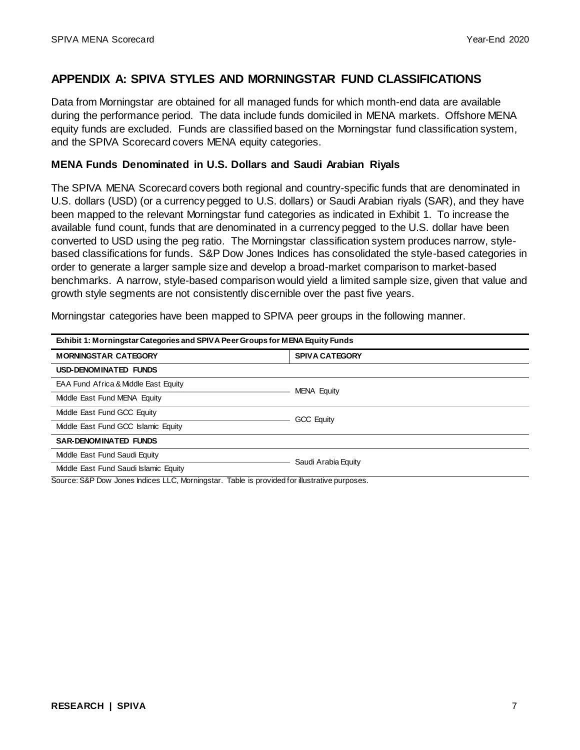#### **APPENDIX A: SPIVA STYLES AND MORNINGSTAR FUND CLASSIFICATIONS**

Data from Morningstar are obtained for all managed funds for which month-end data are available during the performance period. The data include funds domiciled in MENA markets. Offshore MENA equity funds are excluded. Funds are classified based on the Morningstar fund classification system, and the SPIVA Scorecard covers MENA equity categories.

#### **MENA Funds Denominated in U.S. Dollars and Saudi Arabian Riyals**

The SPIVA MENA Scorecard covers both regional and country-specific funds that are denominated in U.S. dollars (USD) (or a currency pegged to U.S. dollars) or Saudi Arabian riyals (SAR), and they have been mapped to the relevant Morningstar fund categories as indicated in Exhibit 1. To increase the available fund count, funds that are denominated in a currency pegged to the U.S. dollar have been converted to USD using the peg ratio. The Morningstar classification system produces narrow, stylebased classifications for funds. S&P Dow Jones Indices has consolidated the style-based categories in order to generate a larger sample size and develop a broad-market comparison to market-based benchmarks. A narrow, style-based comparison would yield a limited sample size, given that value and growth style segments are not consistently discernible over the past five years.

Morningstar categories have been mapped to SPIVA peer groups in the following manner.

| Exhibit 1: Morningstar Categories and SPIVA Peer Groups for MENA Equity Funds |                   |  |  |  |  |
|-------------------------------------------------------------------------------|-------------------|--|--|--|--|
| <b>SPIVA CATEGORY</b><br><b>MORNINGSTAR CATEGORY</b>                          |                   |  |  |  |  |
| USD-DENOMINATED FUNDS                                                         |                   |  |  |  |  |
| EAA Fund Africa & Middle East Equity<br>MENA Equity                           |                   |  |  |  |  |
| Middle East Fund MENA Equity                                                  |                   |  |  |  |  |
| Middle East Fund GCC Equity                                                   | <b>GCC Equity</b> |  |  |  |  |
| Middle East Fund GCC Islamic Equity                                           |                   |  |  |  |  |
| <b>SAR-DENOMINATED FUNDS</b>                                                  |                   |  |  |  |  |
| Middle East Fund Saudi Equity                                                 |                   |  |  |  |  |
| Saudi Arabia Equity<br>Middle East Fund Saudi Islamic Equity                  |                   |  |  |  |  |

Source: S&P Dow Jones Indices LLC, Morningstar. Table is provided for illustrative purposes.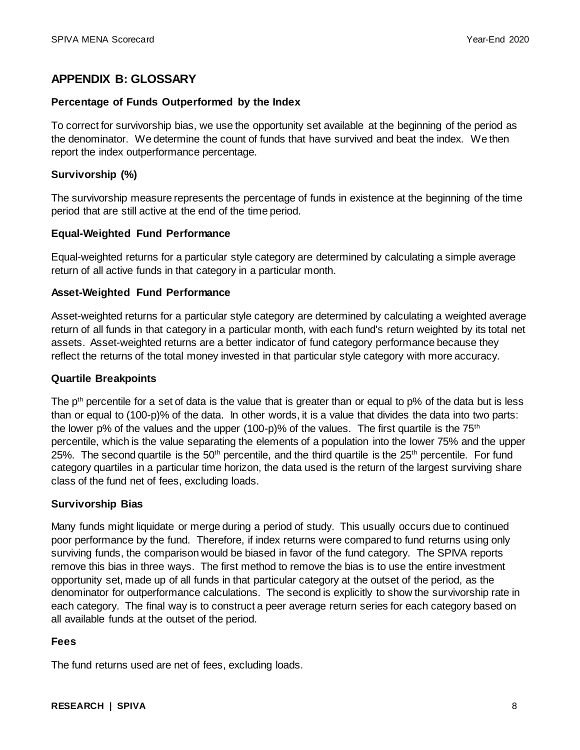# **APPENDIX B: GLOSSARY**

#### **Percentage of Funds Outperformed by the Index**

To correct for survivorship bias, we use the opportunity set available at the beginning of the period as the denominator. We determine the count of funds that have survived and beat the index. We then report the index outperformance percentage.

#### **Survivorship (%)**

The survivorship measure represents the percentage of funds in existence at the beginning of the time period that are still active at the end of the time period.

#### **Equal-Weighted Fund Performance**

Equal-weighted returns for a particular style category are determined by calculating a simple average return of all active funds in that category in a particular month.

#### **Asset-Weighted Fund Performance**

Asset-weighted returns for a particular style category are determined by calculating a weighted average return of all funds in that category in a particular month, with each fund's return weighted by its total net assets. Asset-weighted returns are a better indicator of fund category performance because they reflect the returns of the total money invested in that particular style category with more accuracy.

#### **Quartile Breakpoints**

The  $p<sup>th</sup>$  percentile for a set of data is the value that is greater than or equal to  $p\%$  of the data but is less than or equal to (100-p)% of the data. In other words, it is a value that divides the data into two parts: the lower p% of the values and the upper (100-p)% of the values. The first quartile is the  $75<sup>th</sup>$ percentile, which is the value separating the elements of a population into the lower 75% and the upper 25%. The second quartile is the  $50<sup>th</sup>$  percentile, and the third quartile is the  $25<sup>th</sup>$  percentile. For fund category quartiles in a particular time horizon, the data used is the return of the largest surviving share class of the fund net of fees, excluding loads.

#### **Survivorship Bias**

Many funds might liquidate or merge during a period of study. This usually occurs due to continued poor performance by the fund. Therefore, if index returns were compared to fund returns using only surviving funds, the comparison would be biased in favor of the fund category. The SPIVA reports remove this bias in three ways. The first method to remove the bias is to use the entire investment opportunity set, made up of all funds in that particular category at the outset of the period, as the denominator for outperformance calculations. The second is explicitly to show the survivorship rate in each category. The final way is to construct a peer average return series for each category based on all available funds at the outset of the period.

#### **Fees**

The fund returns used are net of fees, excluding loads.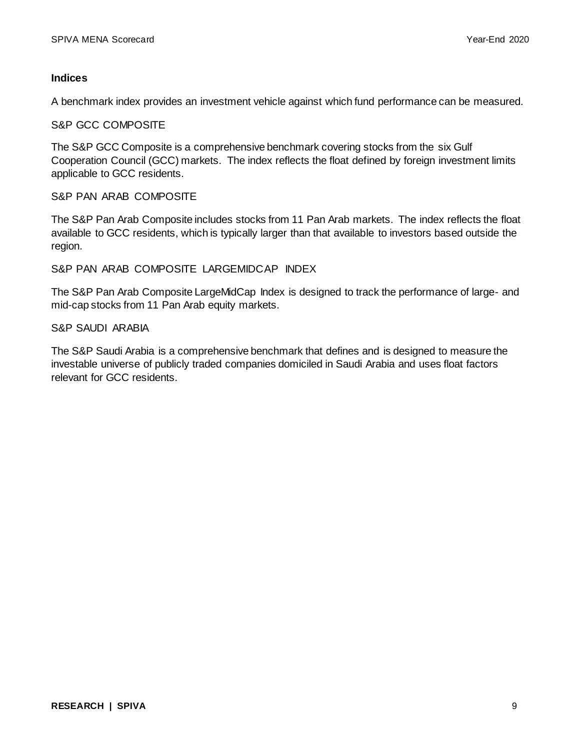#### **Indices**

A benchmark index provides an investment vehicle against which fund performance can be measured.

S&P GCC COMPOSITE

The S&P GCC Composite is a comprehensive benchmark covering stocks from the six Gulf Cooperation Council (GCC) markets. The index reflects the float defined by foreign investment limits applicable to GCC residents.

#### S&P PAN ARAB COMPOSITE

The S&P Pan Arab Composite includes stocks from 11 Pan Arab markets. The index reflects the float available to GCC residents, which is typically larger than that available to investors based outside the region.

#### S&P PAN ARAB COMPOSITE LARGEMIDCAP INDEX

The S&P Pan Arab Composite LargeMidCap Index is designed to track the performance of large- and mid-cap stocks from 11 Pan Arab equity markets.

#### S&P SAUDI ARABIA

The S&P Saudi Arabia is a comprehensive benchmark that defines and is designed to measure the investable universe of publicly traded companies domiciled in Saudi Arabia and uses float factors relevant for GCC residents.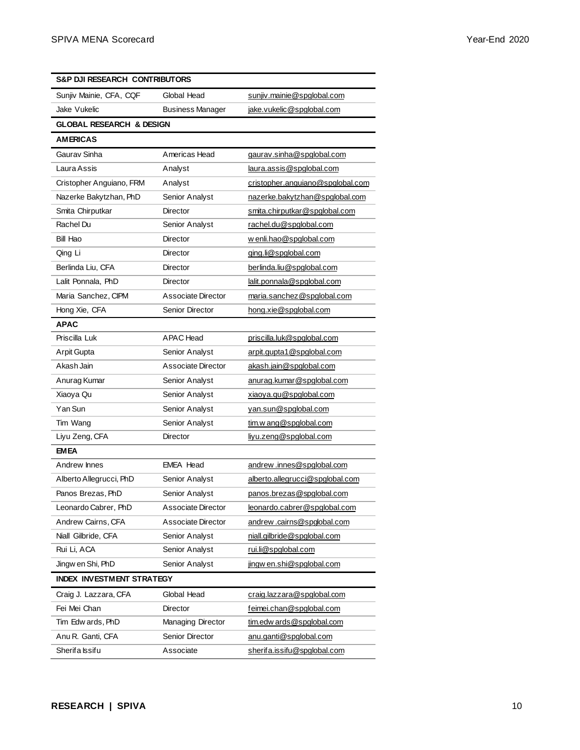| S&P DJI RESEARCH CONTRIBUTORS       |                         |                                  |  |  |  |
|-------------------------------------|-------------------------|----------------------------------|--|--|--|
| Sunjiv Mainie, CFA, CQF             | Global Head             | sunjiv.mainie@spglobal.com       |  |  |  |
| Jake Vukelic                        | <b>Business Manager</b> | jake.vukelic@spglobal.com        |  |  |  |
| <b>GLOBAL RESEARCH &amp; DESIGN</b> |                         |                                  |  |  |  |
| <b>AMERICAS</b>                     |                         |                                  |  |  |  |
| Gaurav Sinha                        | Americas Head           | gaurav.sinha@spglobal.com        |  |  |  |
| Laura Assis                         | Analyst                 | laura.assis@spglobal.com         |  |  |  |
| Cristopher Anguiano, FRM            | Analyst                 | cristopher.anguiano@spglobal.com |  |  |  |
| Nazerke Bakytzhan, PhD              | Senior Analyst          | nazerke.bakytzhan@spglobal.com   |  |  |  |
| Smita Chirputkar                    | <b>Director</b>         | smita.chirputkar@spglobal.com    |  |  |  |
| Rachel Du                           | Senior Analyst          | rachel.du@spglobal.com           |  |  |  |
| Bill Hao                            | Director                | w enli.hao@spglobal.com          |  |  |  |
| Qing Li                             | Director                | ging.li@spglobal.com             |  |  |  |
| Berlinda Liu, CFA                   | Director                | berlinda.liu@spglobal.com        |  |  |  |
| Lalit Ponnala, PhD                  | Director                | lalit.ponnala@spglobal.com       |  |  |  |
| Maria Sanchez, CIPM                 | Associate Director      | maria.sanchez@spglobal.com       |  |  |  |
| Hong Xie, CFA                       | Senior Director         | hong.xie@spglobal.com            |  |  |  |
| <b>APAC</b>                         |                         |                                  |  |  |  |
| Priscilla Luk                       | <b>APAC</b> Head        | priscilla.luk@spglobal.com       |  |  |  |
| Arpit Gupta                         | Senior Analyst          | arpit.gupta1@spglobal.com        |  |  |  |
| Akash Jain                          | Associate Director      | akash.jain@spglobal.com          |  |  |  |
| Anurag Kumar                        | Senior Analyst          | anurag.kumar@spglobal.com        |  |  |  |
| Xiaoya Qu                           | Senior Analyst          | xiaoya.qu@spglobal.com           |  |  |  |
| Yan Sun                             | Senior Analyst          | yan.sun@spglobal.com             |  |  |  |
| Tim Wang                            | Senior Analyst          | tim.w ang@spglobal.com           |  |  |  |
| Liyu Zeng, CFA                      | Director                | liyu.zeng@spglobal.com           |  |  |  |
| <b>EMEA</b>                         |                         |                                  |  |  |  |
| Andrew Innes                        | <b>EMEA Head</b>        | andrew.innes@spglobal.com        |  |  |  |
| Alberto Allegrucci, PhD             | Senior Analyst          | alberto.allegrucci@spglobal.com  |  |  |  |
| Panos Brezas, PhD                   | Senior Analyst          | panos.brezas@spglobal.com        |  |  |  |
| Leonardo Cabrer, PhD                | Associate Director      | leonardo.cabrer@spglobal.com     |  |  |  |
| Andrew Cairns, CFA                  | Associate Director      | andrew.cairns@spglobal.com       |  |  |  |
| Niall Gilbride, CFA                 | Senior Analyst          | niall.gilbride@spglobal.com      |  |  |  |
| Rui Li, ACA                         | Senior Analyst          | rui.li@spglobal.com              |  |  |  |
| Jingw en Shi, PhD                   | Senior Analyst          | jingw en.shi@spglobal.com        |  |  |  |
| <b>INDEX INVESTMENT STRATEGY</b>    |                         |                                  |  |  |  |
| Craig J. Lazzara, CFA               | Global Head             | craig.lazzara@spglobal.com       |  |  |  |
| Fei Mei Chan                        | <b>Director</b>         | feimei.chan@spqlobal.com         |  |  |  |
| Tim Edw ards, PhD                   | Managing Director       | tim.edw ards@spglobal.com        |  |  |  |
| Anu R. Ganti, CFA                   | Senior Director         | anu.ganti@spglobal.com           |  |  |  |
| Sherifa Issifu                      | Associate               | sherifa.issifu@spglobal.com      |  |  |  |